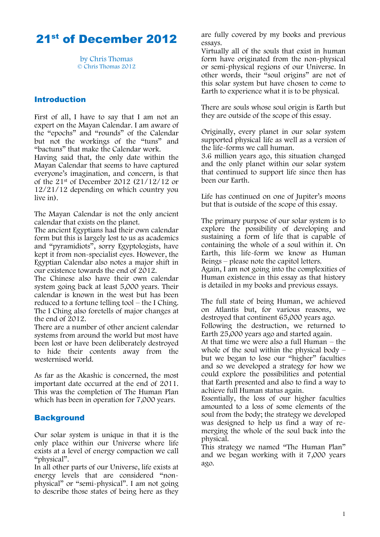# 21st of December 2012

by Chris Thomas © Chris Thomas 2012

## Introduction

First of all, I have to say that I am not an expert on the Mayan Calendar. I am aware of the "epochs" and "rounds" of the Calendar but not the workings of the "tuns" and "bactuns" that make the Calendar work.

Having said that, the only date within the Mayan Calendar that seems to have captured everyone's imagination, and concern, is that of the 21st of December 2012 (21/12/12 or 12/21/12 depending on which country you live in).

The Mayan Calendar is not the only ancient calendar that exists on the planet.

The ancient Egyptians had their own calendar form but this is largely lost to us as academics and "pyramidiots", sorry Egyptologists, have kept it from non-specialist eyes. However, the Egyptian Calendar also notes a major shift in our existence towards the end of 2012.

The Chinese also have their own calendar system going back at least 5,000 years. Their calendar is known in the west but has been reduced to a fortune telling tool – the I Ching. The I Ching also foretells of major changes at the end of 2012.

There are a number of other ancient calendar systems from around the world but most have been lost or have been deliberately destroyed to hide their contents away from the westernised world.

As far as the Akashic is concerned, the most important date occurred at the end of 2011. This was the completion of The Human Plan which has been in operation for 7,000 years.

## **Background**

Our solar system is unique in that it is the only place within our Universe where life exists at a level of energy compaction we call "physical".

In all other parts of our Universe, life exists at energy levels that are considered "nonphysical" or "semi-physical". I am not going to describe those states of being here as they

are fully covered by my books and previous essays.

Virtually all of the souls that exist in human form have originated from the non-physical or semi-physical regions of our Universe. In other words, their "soul origins" are not of this solar system but have chosen to come to Earth to experience what it is to be physical.

There are souls whose soul origin is Earth but they are outside of the scope of this essay.

Originally, every planet in our solar system supported physical life as well as a version of the life-forms we call human.

3.6 million years ago, this situation changed and the only planet within our solar system that continued to support life since then has been our Earth.

Life has continued on one of Jupiter's moons but that is outside of the scope of this essay.

The primary purpose of our solar system is to explore the possibility of developing and sustaining a form of life that is capable of containing the whole of a soul within it. On Earth, this life-form we know as Human Beings – please note the capitol letters. Again, I am not going into the complexities of Human existence in this essay as that history is detailed in my books and previous essays.

The full state of being Human, we achieved on Atlantis but, for various reasons, we destroyed that continent 65,000 years ago. Following the destruction, we returned to Earth 25,000 years ago and started again. At that time we were also a full Human – the whole of the soul within the physical body – but we began to lose our "higher" faculties and so we developed a strategy for how we could explore the possibilities and potential that Earth presented and also to find a way to

achieve full Human status again. Essentially, the loss of our higher faculties amounted to a loss of some elements of the

soul from the body; the strategy we developed was designed to help us find a way of remerging the whole of the soul back into the physical.

This strategy we named "The Human Plan" and we began working with it 7,000 years ago.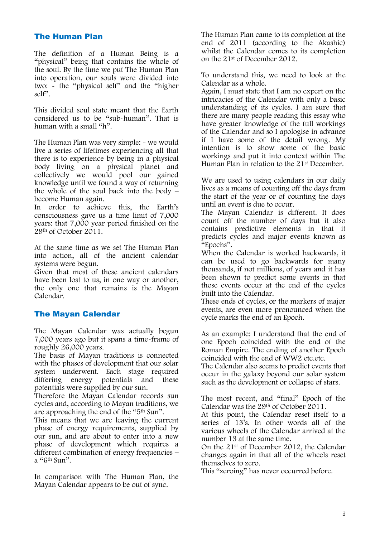## The Human Plan

The definition of a Human Being is a "physical" being that contains the whole of the soul. By the time we put The Human Plan into operation, our souls were divided into two: - the "physical self" and the "higher self".

This divided soul state meant that the Earth considered us to be "sub-human". That is human with a small "h".

The Human Plan was very simple: - we would live a series of lifetimes experiencing all that there is to experience by being in a physical body living on a physical planet and collectively we would pool our gained knowledge until we found a way of returning the whole of the soul back into the body – become Human again.

In order to achieve this, the Earth's consciousness gave us a time limit of 7,000 years: that 7,000 year period finished on the 29th of October 2011.

At the same time as we set The Human Plan into action, all of the ancient calendar systems were begun.

Given that most of these ancient calendars have been lost to us, in one way or another, the only one that remains is the Mayan Calendar.

## The Mayan Calendar

The Mayan Calendar was actually begun 7,000 years ago but it spans a time-frame of roughly 26,000 years.

The basis of Mayan traditions is connected with the phases of development that our solar system underwent. Each stage required differing energy potentials and these potentials were supplied by our sun.

Therefore the Mayan Calendar records sun cycles and, according to Mayan traditions, we are approaching the end of the "5th Sun".

This means that we are leaving the current phase of energy requirements, supplied by our sun, and are about to enter into a new phase of development which requires a different combination of energy frequencies – a "6th Sun".

In comparison with The Human Plan, the Mayan Calendar appears to be out of sync.

The Human Plan came to its completion at the end of 2011 (according to the Akashic) whilst the Calendar comes to its completion on the 21st of December 2012.

To understand this, we need to look at the Calendar as a whole.

Again, I must state that I am no expert on the intricacies of the Calendar with only a basic understanding of its cycles. I am sure that there are many people reading this essay who have greater knowledge of the full workings of the Calendar and so I apologise in advance if I have some of the detail wrong. My intention is to show some of the basic workings and put it into context within The Human Plan in relation to the 21st December.

We are used to using calendars in our daily lives as a means of counting off the days from the start of the year or of counting the days until an event is due to occur.

The Mayan Calendar is different. It does count off the number of days but it also contains predictive elements in that it predicts cycles and major events known as "Epochs".

When the Calendar is worked backwards, it can be used to go backwards for many thousands, if not millions, of years and it has been shown to predict some events in that those events occur at the end of the cycles built into the Calendar.

These ends of cycles, or the markers of major events, are even more pronounced when the cycle marks the end of an Epoch.

As an example: I understand that the end of one Epoch coincided with the end of the Roman Empire. The ending of another Epoch coincided with the end of WW2 etc.etc.

The Calendar also seems to predict events that occur in the galaxy beyond our solar system such as the development or collapse of stars.

The most recent, and "final" Epoch of the Calendar was the 29th of October 2011.

At this point, the Calendar reset itself to a series of 13's. In other words all of the various wheels of the Calendar arrived at the number 13 at the same time.

On the 21st of December 2012, the Calendar changes again in that all of the wheels reset themselves to zero.

This "zeroing" has never occurred before.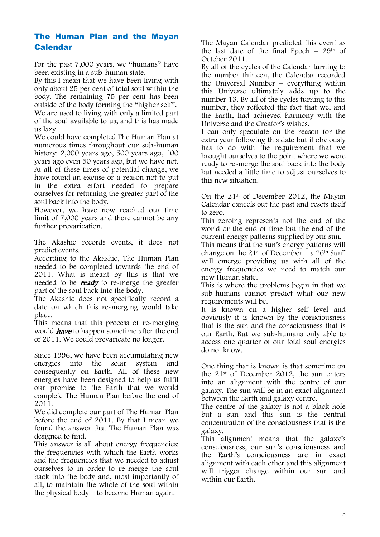## The Human Plan and the Mayan Calendar

For the past 7,000 years, we "humans" have been existing in a sub-human state.

By this I mean that we have been living with only about 25 per cent of total soul within the body. The remaining 75 per cent has been outside of the body forming the "higher self". We are used to living with only a limited part of the soul available to us; and this has made us lazy.

We could have completed The Human Plan at numerous times throughout our sub-human history: 2,000 years ago, 500 years ago, 100 years ago even 50 years ago, but we have not. At all of these times of potential change, we have found an excuse or a reason not to put in the extra effort needed to prepare ourselves for returning the greater part of the soul back into the body.

However, we have now reached our time limit of 7,000 years and there cannot be any further prevarication.

The Akashic records events, it does not predict events.

According to the Akashic, The Human Plan needed to be completed towards the end of 2011. What is meant by this is that we needed to be **ready** to re-merge the greater part of the soul back into the body.

The Akashic does not specifically record a date on which this re-merging would take place.

This means that this process of re-merging would *have* to happen sometime after the end of 2011. We could prevaricate no longer.

Since 1996, we have been accumulating new energies into the solar system and consequently on Earth. All of these new energies have been designed to help us fulfil our promise to the Earth that we would complete The Human Plan before the end of 2011.

We did complete our part of The Human Plan before the end of 2011. By that I mean we found the answer that The Human Plan was designed to find.

This answer is all about energy frequencies: the frequencies with which the Earth works and the frequencies that we needed to adjust ourselves to in order to re-merge the soul back into the body and, most importantly of all, to maintain the whole of the soul within the physical body – to become Human again.

The Mayan Calendar predicted this event as the last date of the final Epoch  $-29$ <sup>th</sup> of October 2011.

By all of the cycles of the Calendar turning to the number thirteen, the Calendar recorded the Universal Number – everything within this Universe ultimately adds up to the number 13. By all of the cycles turning to this number, they reflected the fact that we, and the Earth, had achieved harmony with the Universe and the Creator's wishes.

I can only speculate on the reason for the extra year following this date but it obviously has to do with the requirement that we brought ourselves to the point where we were ready to re-merge the soul back into the body but needed a little time to adjust ourselves to this new situation.

On the 21st of December 2012, the Mayan Calendar cancels out the past and resets itself to zero.

This zeroing represents not the end of the world or the end of time but the end of the current energy patterns supplied by our sun.

This means that the sun's energy patterns will change on the 21<sup>st</sup> of December – a " $6<sup>th</sup> Sun"$ will emerge providing us with all of the energy frequencies we need to match our new Human state.

This is where the problems begin in that we sub-humans cannot predict what our new requirements will be.

It is known on a higher self level and obviously it is known by the consciousness that is the sun and the consciousness that is our Earth. But we sub-humans only able to access one quarter of our total soul energies do not know.

One thing that is known is that sometime on the 21st of December 2012, the sun enters into an alignment with the centre of our galaxy. The sun will be in an exact alignment between the Earth and galaxy centre.

The centre of the galaxy is not a black hole but a sun and this sun is the central concentration of the consciousness that is the galaxy.

This alignment means that the galaxy's consciousness, our sun's consciousness and the Earth's consciousness are in exact alignment with each other and this alignment will trigger change within our sun and within our Earth.